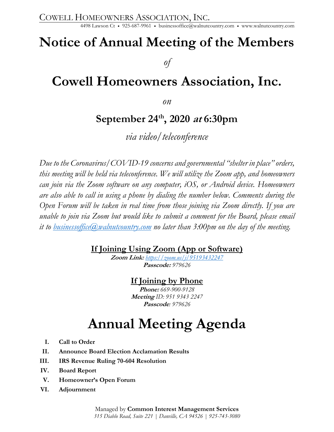## **Notice of Annual Meeting of the Members**

*of* 

### **Cowell Homeowners Association, Inc.**

*on* 

### **September 24th, 2020 at 6:30pm**

*via video/teleconference* 

*Due to the Coronavirus/COVID-19 concerns and governmental "shelter in place" orders, this meeting will be held via teleconference. We will utilize the Zoom app, and homeowners can join via the Zoom software on any computer, iOS, or Android device. Homeowners are also able to call in using a phone by dialing the number below. Comments during the Open Forum will be taken in real time from those joining via Zoom directly. If you are unable to join via Zoom but would like to submit a comment for the Board, please email it to businessoffice@walnutcountry.com no later than 3:00pm on the day of the meeting.* 

### **If Joining Using Zoom (App or Software)**

**Zoom Link:** *https://zoom.us/j/95193432247* **Passcode:** *979626* 

### **If Joining by Phone**

**Phone:** *669-900-9128*  **Meeting** *ID: 951 9343 2247*  **Passcode***: 979626* 

## **Annual Meeting Agenda**

- **I. Call to Order**
- **II. Announce Board Election Acclamation Results**
- **III. IRS Revenue Ruling 70-604 Resolution**
- **IV. Board Report**
- **V. Homeowner's Open Forum**
- **VI. Adjournment**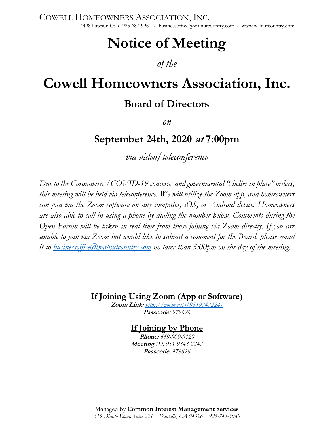COWELL HOMEOWNERS ASSOCIATION, INC. 4498 Lawson Ct • 925-687-9961 • businessoffice@walnutcountry.com • www.walnutcountry.com

## **Notice of Meeting**

### *of the*

# **Cowell Homeowners Association, Inc.**

### **Board of Directors**

*on* 

### **September 24th, 2020 at 7:00pm**

*via video/teleconference* 

*Due to the Coronavirus/COVID-19 concerns and governmental "shelter in place" orders, this meeting will be held via teleconference. We will utilize the Zoom app, and homeowners can join via the Zoom software on any computer, iOS, or Android device. Homeowners are also able to call in using a phone by dialing the number below. Comments during the Open Forum will be taken in real time from those joining via Zoom directly. If you are unable to join via Zoom but would like to submit a comment for the Board, please email it to businessoffice@walnutcountry.com no later than 3:00pm on the day of the meeting.* 

**If Joining Using Zoom (App or Software)** 

**Zoom Link:** *https://zoom.us/j/95193432247* **Passcode:** *979626* 

### **If Joining by Phone**

**Phone:** *669-900-9128*  **Meeting** *ID: 951 9343 2247*  **Passcode***: 979626* 

Managed by **Common Interest Management Services**  *315 Diablo Road, Suite 221 | Danville, CA 94526 | 925-743-3080*